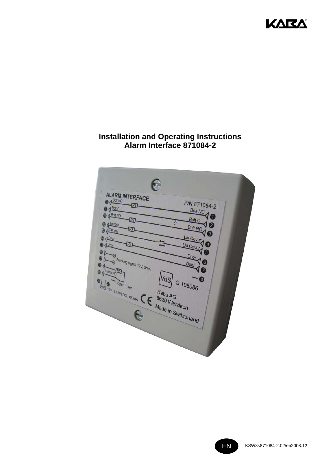

# **Installation and Operating Instructions** Alarm Interface 871084-2



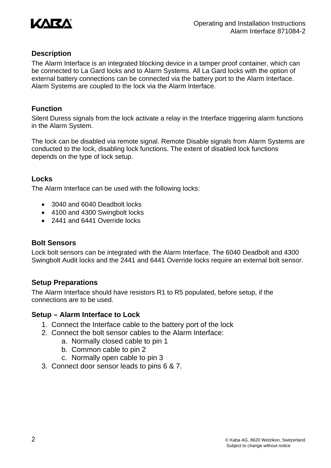

# **Description**

The Alarm Interface is an integrated blocking device in a tamper proof container, which can be connected to La Gard locks and to Alarm Systems. All La Gard locks with the option of external battery connections can be connected via the battery port to the Alarm Interface. Alarm Systems are coupled to the lock via the Alarm Interface.

## **Function**

Silent Duress signals from the lock activate a relay in the Interface triggering alarm functions in the Alarm System.

The lock can be disabled via remote signal. Remote Disable signals from Alarm Systems are conducted to the lock, disabling lock functions. The extent of disabled lock functions depends on the type of lock setup.

## **Locks**

The Alarm Interface can be used with the following locks:

- 3040 and 6040 Deadbolt locks
- 4100 and 4300 Swingbolt locks
- 2441 and 6441 Override locks

## **Bolt Sensors**

Lock bolt sensors can be integrated with the Alarm Interface. The 6040 Deadbolt and 4300 Swingbolt Audit locks and the 2441 and 6441 Override locks require an external bolt sensor.

## **Setup Preparations**

The Alarm Interface should have resistors R1 to R5 populated, before setup, if the connections are to be used.

## **Setup – Alarm Interface to Lock**

- 1. Connect the Interface cable to the battery port of the lock
- 2. Connect the bolt sensor cables to the Alarm Interface:
	- a. Normally closed cable to pin 1
	- b. Common cable to pin 2
	- c. Normally open cable to pin 3
- 3. Connect door sensor leads to pins 6 & 7.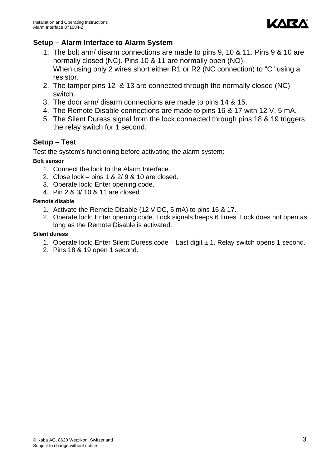

# **Setup – Alarm Interface to Alarm System**

- 1. The bolt arm/ disarm connections are made to pins 9, 10 & 11. Pins 9 & 10 are normally closed (NC). Pins 10 & 11 are normally open (NO). When using only 2 wires short either R1 or R2 (NC connection) to "C" using a resistor.
- 2. The tamper pins 12 & 13 are connected through the normally closed (NC) switch.
- 3. The door arm/ disarm connections are made to pins 14 & 15.
- 4. The Remote Disable connections are made to pins 16 & 17 with 12 V, 5 mA.
- 5. The Silent Duress signal from the lock connected through pins 18 & 19 triggers the relay switch for 1 second.

# **Setup – Test**

Test the system's functioning before activating the alarm system:

#### **Bolt sensor**

- 1. Connect the lock to the Alarm Interface.
- 2. Close lock pins 1 & 2/ 9 & 10 are closed.
- 3. Operate lock; Enter opening code.
- 4. Pin 2 & 3/ 10 & 11 are closed

#### **Remote disable**

- 1. Activate the Remote Disable (12 V DC, 5 mA) to pins 16 & 17.
- 2. Operate lock; Enter opening code. Lock signals beeps 6 times. Lock does not open as long as the Remote Disable is activated.

#### **Silent duress**

- 1. Operate lock; Enter Silent Duress code  $-$  Last digit  $\pm$  1. Relay switch opens 1 second.
- 2. Pins 18 & 19 open 1 second.